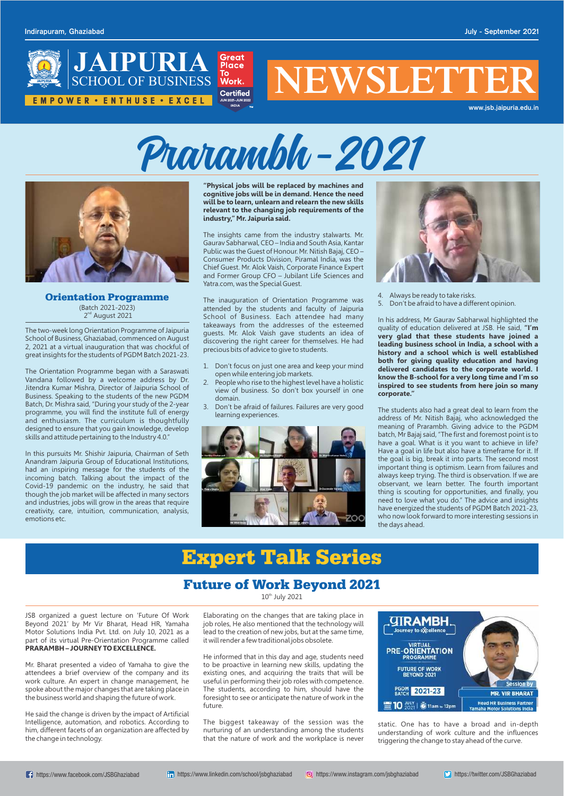

# **NEWSLETTE**

**www.jsb.jaipuria.edu.in**

JSB organized a guest lecture on 'Future Of Work Beyond 2021' by Mr Vir Bharat, Head HR, Yamaha Motor Solutions India Pvt. Ltd. on July 10, 2021 as a part of its virtual Pre-Orientation Programme called **PRARAMBH – JOURNEY TO EXCELLENCE.**

Mr. Bharat presented a video of Yamaha to give the attendees a brief overview of the company and its work culture. An expert in change management, he spoke about the major changes that are taking place in the business world and shaping the future of work.

He said the change is driven by the impact of Artificial Intelligence, automation, and robotics. According to him, different facets of an organization are affected by the change in technology.

# **Expert Talk Series**

Elaborating on the changes that are taking place in job roles, He also mentioned that the technology will lead to the creation of new jobs, but at the same time, it will render a few traditional jobs obsolete.

He informed that in this day and age, students need to be proactive in learning new skills, updating the existing ones, and acquiring the traits that will be useful in performing their job roles with competence. The students, according to him, should have the foresight to see or anticipate the nature of work in the future.

The biggest takeaway of the session was the nurturing of an understanding among the students that the nature of work and the workplace is never



## **Future of Work Beyond 2021**

 $10<sup>th</sup>$  July 2021

**"Physical jobs will be replaced by machines and cognitive jobs will be in demand. Hence the need will be to learn, unlearn and relearn the new skills relevant to the changing job requirements of the industry," Mr. Jaipuria said.**



**Orientation Programme** (Batch 2021-2023) 2<sup>nd</sup> August 2021

The insights came from the industry stalwarts. Mr. Gaurav Sabharwal, CEO – India and South Asia, Kantar Public was the Guest of Honour. Mr. Nitish Bajaj, CEO – Consumer Products Division, Piramal India, was the Chief Guest. Mr. Alok Vaish, Corporate Finance Expert and Former Group CFO – Jubilant Life Sciences and Yatra.com, was the Special Guest.

The inauguration of Orientation Programme was attended by the students and faculty of Jaipuria School of Business. Each attendee had many takeaways from the addresses of the esteemed guests. Mr. Alok Vaish gave students an idea of discovering the right career for themselves. He had precious bits of advice to give to students.

- 1. Don't focus on just one area and keep your mind open while entering job markets.
- 2. People who rise to the highest level have a holistic view of business. So don't box yourself in one domain.
- 3. Don't be afraid of failures. Failures are very good learning experiences.





- 4. Always be ready to take risks.
- 5. Don't be afraid to have a different opinion.

In his address, Mr Gaurav Sabharwal highlighted the quality of education delivered at JSB. He said, **"I'm very glad that these students have joined a leading business school in India, a school with a history and a school which is well established both for giving quality education and having delivered candidates to the corporate world. I know the B-school for a very long time and I'm so inspired to see students from here join so many corporate."** 

The students also had a great deal to learn from the address of Mr. Nitish Bajaj, who acknowledged the meaning of Prarambh. Giving advice to the PGDM batch, Mr Bajaj said, "The first and foremost point is to have a goal. What is it you want to achieve in life? Have a goal in life but also have a timeframe for it. If the goal is big, break it into parts. The second most important thing is optimism. Learn from failures and always keep trying. The third is observation. If we are observant, we learn better. The fourth important thing is scouting for opportunities, and finally, you need to love what you do." The advice and insights have energized the students of PGDM Batch 2021-23, who now look forward to more interesting sessions in the days ahead.

The two-week long Orientation Programme of Jaipuria School of Business, Ghaziabad, commenced on August 2, 2021 at a virtual inauguration that was chockful of great insights for the students of PGDM Batch 2021-23.

The Orientation Programme began with a Saraswati Vandana followed by a welcome address by Dr. Jitendra Kumar Mishra, Director of Jaipuria School of Business. Speaking to the students of the new PGDM Batch, Dr. Mishra said, "During your study of the 2-year programme, you will find the institute full of energy and enthusiasm. The curriculum is thoughtfully designed to ensure that you gain knowledge, develop skills and attitude pertaining to the Industry 4.0."

In this pursuits Mr. Shishir Jaipuria, Chairman of Seth Anandram Jaipuria Group of Educational Institutions, had an inspiring message for the students of the incoming batch. Talking about the impact of the Covid-19 pandemic on the industry, he said that though the job market will be affected in many sectors and industries, jobs will grow in the areas that require creativity, care, intuition, communication, analysis, emotions etc.



static. One has to have a broad and in-depth understanding of work culture and the influences triggering the change to stay ahead of the curve.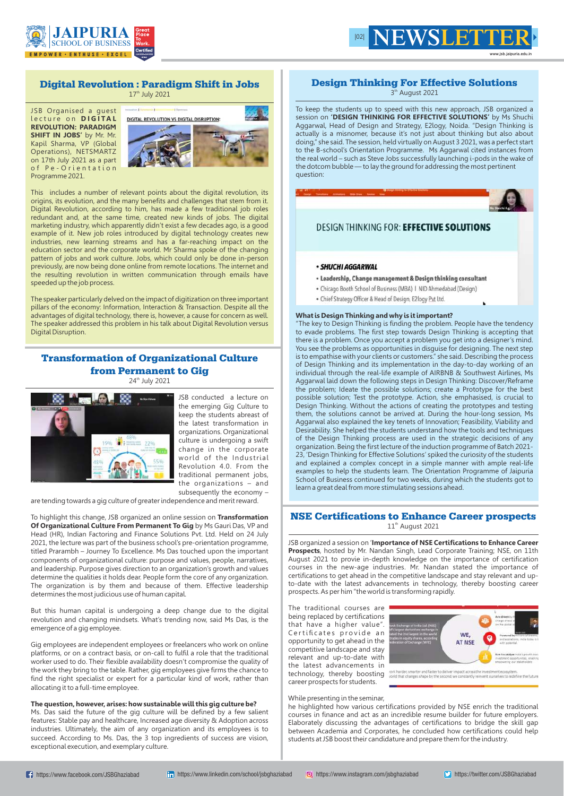#### **Design Thinking For Effective Solutions** 3<sup>th</sup> August 2021

To keep the students up to speed with this new approach, JSB organized a session on **'DESIGN THINKING FOR EFFECTIVE SOLUTIONS'** by Ms Shuchi Aggarwal, Head of Design and Strategy, E2logy, Noida. "Design Thinking is actually is a misnomer, because it's not just about thinking but also about doing," she said. The session, held virtually on August 3 2021, was a perfect start to the B-school's Orientation Programme. Ms Aggarwal cited instances from the real world – such as Steve Jobs successfully launching i-pods in the wake of the dotcom bubble — to lay the ground for addressing the most pertinent question:

## **DESIGN THINKING FOR: EFFECTIVE SOLUTIONS**

#### · SHUCHI AGGARWAL

- Leadership, Change management & Design thinking consultant
- Chicago Booth School of Business (MBA) | NID Ahmedabad (Design)
- · Chief Strategy Officer & Head of Design, E2logy Pvt Ltd.

#### **What is Design Thinking and why is it important?**

## **NSE Certifications to Enhance Career prospects**   $11<sup>th</sup>$  August 2021

"The key to Design Thinking is finding the problem. People have the tendency to evade problems. The first step towards Design Thinking is accepting that there is a problem. Once you accept a problem you get into a designer's mind. You see the problems as opportunities in disguise for designing. The next step is to empathise with your clients or customers." she said. Describing the process of Design Thinking and its implementation in the day-to-day working of an individual through the real-life example of AIRBNB & Southwest Airlines, Ms Aggarwal laid down the following steps in Design Thinking: Discover/Reframe the problem; Ideate the possible solutions; create a Prototype for the best possible solution; Test the prototype. Action, she emphasised, is crucial to Design Thinking. Without the actions of creating the prototypes and testing them, the solutions cannot be arrived at. During the hour-long session, Ms Aggarwal also explained the key tenets of Innovation; Feasibility, Viability and Desirability. She helped the students understand how the tools and techniques of the Design Thinking process are used in the strategic decisions of any organization. Being the first lecture of the induction programme of Batch 2021- 23, 'Design Thinking for Effective Solutions' spiked the curiosity of the students and explained a complex concept in a simple manner with ample real-life examples to help the students learn. The Orientation Programme of Jaipuria School of Business continued for two weeks, during which the students got to learn a great deal from more stimulating sessions ahead.





JSB organized a session on '**Importance of NSE Certifications to Enhance Career Prospects**, hosted by Mr. Nandan Singh, Lead Corporate Training; NSE, on 11th August 2021 to provie in-depth knowledge on the importance of certification courses in the new-age industries. Mr. Nandan stated the importance of certifications to get ahead in the competitive landscape and stay relevant and upto-date with the latest advancements in technology, thereby boosting career prospects. As per him "the world is transforming rapidly.

The traditional courses are being replaced by certifications that have a higher value". Certificates provide an opportunity to get ahead in the competitive landscape and stay relevant and up-to-date with the latest advancements in technology, thereby boosting continues and the second we accurate the content of the second content of the second content of the second of the second content of the second of the second we content of the second of the futu career prospects for students.

#### While presenting in the seminar,

he highlighted how various certifications provided by NSE enrich the traditional courses in finance and act as an incredible resume builder for future employers. Elaborately discussing the advantages of certifications to bridge the skill gap between Academia and Corporates, he concluded how certifications could help students at JSB boost their candidature and prepare them for the industry.

WE. **AT NSE** 

## **Digital Revolution : Paradigm Shift in Jobs**

 $17<sup>th</sup>$  July 2021

JSB Organised a guest l e c t u r e o n **D I G I TA L REVOLUTION: PARADIGM SHIFT IN JOBS'** by Mr. Mr. Kapil Sharma, VP (Global Operations), NETSMARTZ on 17th July 2021 as a part of Pe-Orientation Programme 2021.



This includes a number of relevant points about the digital revolution, its origins, its evolution, and the many benefits and challenges that stem from it. Digital Revolution, according to him, has made a few traditional job roles redundant and, at the same time, created new kinds of jobs. The digital marketing industry, which apparently didn't exist a few decades ago, is a good example of it. New job roles introduced by digital technology creates new industries, new learning streams and has a far-reaching impact on the education sector and the corporate world. Mr Sharma spoke of the changing pattern of jobs and work culture. Jobs, which could only be done in-person previously, are now being done online from remote locations. The internet and the resulting revolution in written communication through emails have speeded up the job process.

The speaker particularly delved on the impact of digitization on three important pillars of the economy: Information, Interaction & Transaction. Despite all the advantages of digital technology, there is, however, a cause for concern as well. The speaker addressed this problem in his talk about Digital Revolution versus Digital Disruption.

## **Transformation of Organizational Culture from Permanent to Gig**

24<sup>th</sup> July 2021



JSB conducted a lecture on the emerging Gig Culture to keep the students abreast of the latest transformation in organizations. Organizational culture is undergoing a swift change in the corporate world of the Industrial Revolution 4.0. From the traditional permanent jobs, the organizations – and subsequently the economy –

are tending towards a gig culture of greater independence and merit reward.

To highlight this change, JSB organized an online session on **Transformation Of Organizational Culture From Permanent To Gig** by Ms Gauri Das, VP and Head (HR), Indian Factoring and Finance Solutions Pvt. Ltd. Held on 24 July 2021, the lecture was part of the business school's pre-orientation programme, titled Prarambh – Journey To Excellence. Ms Das touched upon the important components of organizational culture: purpose and values, people, narratives, and leadership. Purpose gives direction to an organization's growth and values determine the qualities it holds dear. People form the core of any organization. The organization is by them and because of them. Effective leadership determines the most judicious use of human capital.

But this human capital is undergoing a deep change due to the digital revolution and changing mindsets. What's trending now, said Ms Das, is the emergence of a gig employee.

Gig employees are independent employees or freelancers who work on online platforms, or on a contract basis, or on-call to fulfil a role that the traditional worker used to do. Their flexible availability doesn't compromise the quality of the work they bring to the table. Rather, gig employees give firms the chance to find the right specialist or expert for a particular kind of work, rather than allocating it to a full-time employee.

#### **The question, however, arises: how sustainable will this gig culture be?**

Ms. Das said the future of the gig culture will be defined by a few salient features: Stable pay and healthcare, Increased age diversity & Adoption across industries. Ultimately, the aim of any organization and its employees is to succeed. According to Ms. Das, the 3 top ingredients of success are vision, exceptional execution, and exemplary culture.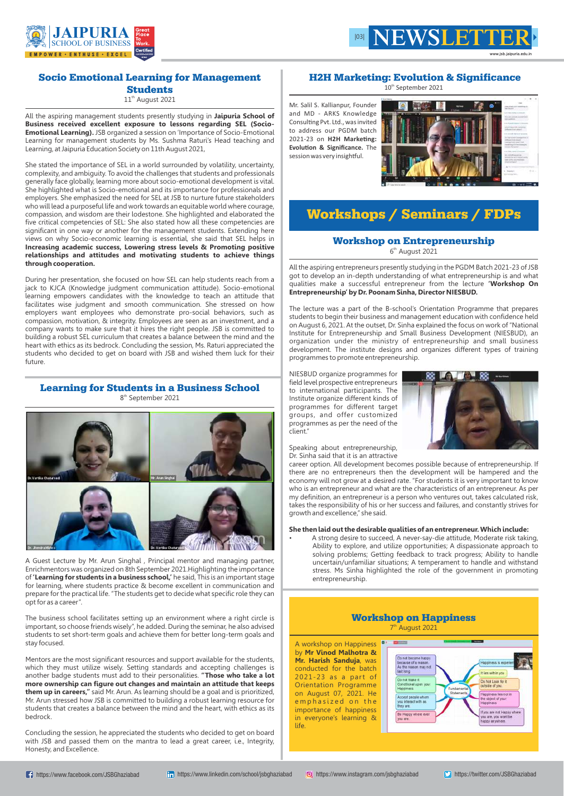## **Socio Emotional Learning for Management Students**   $11<sup>th</sup>$  August 2021

All the aspiring management students presently studying in **Jaipuria School of Business received excellent exposure to lessons regarding SEL (Socio-Emotional Learning).** JSB organized a session on 'Importance of Socio-Emotional Learning for management students by Ms. Sushma Raturi's Head teaching and Learning, at Jaipuria Education Society on 11th August 2021,

She stated the importance of SEL in a world surrounded by volatility, uncertainty, complexity, and ambiguity. To avoid the challenges that students and professionals generally face globally, learning more about socio-emotional development is vital. She highlighted what is Socio-emotional and its importance for professionals and employers. She emphasized the need for SEL at JSB to nurture future stakeholders who will lead a purposeful life and work towards an equitable world where courage, compassion, and wisdom are their lodestone. She highlighted and elaborated the five critical competencies of SEL: She also stated how all these competencies are significant in one way or another for the management students. Extending here views on why Socio-economic learning is essential, she said that SEL helps in **Increasing academic success, Lowering stress levels & Promoting positive relationships and attitudes and motivating students to achieve things through cooperation.**

During her presentation, she focused on how SEL can help students reach from a jack to KJCA (Knowledge judgment communication attitude). Socio-emotional learning empowers candidates with the knowledge to teach an attitude that facilitates wise judgment and smooth communication. She stressed on how employers want employees who demonstrate pro-social behaviors, such as compassion, motivation, & integrity. Employees are seen as an investment, and a company wants to make sure that it hires the right people. JSB is committed to building a robust SEL curriculum that creates a balance between the mind and the heart with ethics as its bedrock. Concluding the session, Ms. Raturi appreciated the students who decided to get on board with JSB and wished them luck for their future.

Mr. Salil S. Kallianpur, Founder and MD - ARKS Knowledge Consulting Pvt. Ltd., was invited to address our PGDM batch 2021-23 on H2H Marketing: **Evolution & Significance.** The session was very insightful.



## **Workshop on Entrepreneurship** 6<sup>th</sup> August 2021





www.isb.iaipuria.edu

## **Learning for Students in a Business School**

8<sup>th</sup> September 2021



A Guest Lecture by Mr. Arun Singhal , Principal mentor and managing partner, Enrichmentors was organized on 8th September 2021.Highlighting the importance of **'Learning for students in a business school,'** he said, This is an important stage for learning, where students practice & become excellent in communication and prepare for the practical life. "The students get to decide what specific role they can opt for as a career".

The business school facilitates setting up an environment where a right circle is important, so choose friends wisely", he added. During the seminar, he also advised students to set short-term goals and achieve them for better long-term goals and stay focused.

Mentors are the most significant resources and support available for the students, which they must utilize wisely. Setting standards and accepting challenges is another badge students must add to their personalities. **"Those who take a lot more ownership can figure out changes and maintain an attitude that keeps them up in careers,"** said Mr. Arun. As learning should be a goal and is prioritized, Mr. Arun stressed how JSB is committed to building a robust learning resource for students that creates a balance between the mind and the heart, with ethics as its bedrock.

Concluding the session, he appreciated the students who decided to get on board with JSB and passed them on the mantra to lead a great career, i.e., Integrity, Honesty, and Excellence.

## **H2H Marketing: Evolution & Significance**

10<sup>th</sup> September 2021

## **Workshops / Seminars / FDPs**

All the aspiring entrepreneurs presently studying in the PGDM Batch 2021-23 of JSB got to develop an in-depth understanding of what entrepreneurship is and what qualities make a successful entrepreneur from the lecture **'Workshop On Entrepreneurship' by Dr. Poonam Sinha, Director NIESBUD.**

The lecture was a part of the B-school's Orientation Programme that prepares students to begin their business and management education with confidence held on August 6, 2021. At the outset, Dr. Sinha explained the focus on work of "National Institute for Entrepreneurship and Small Business Development (NIESBUD), an organization under the ministry of entrepreneurship and small business development. The institute designs and organizes different types of training programmes to promote entrepreneurship.

NIESBUD organize programmes for field level prospective entrepreneurs to international participants. The Institute organize different kinds of programmes for different target groups, and offer customized programmes as per the need of the client."

Speaking about entrepreneurship, Dr. Sinha said that it is an attractive

career option. All development becomes possible because of entrepreneurship. If there are no entrepreneurs then the development will be hampered and the economy will not grow at a desired rate. "For students it is very important to know who is an entrepreneur and what are the characteristics of an entrepreneur. As per my definition, an entrepreneur is a person who ventures out, takes calculated risk, takes the responsibility of his or her success and failures, and constantly strives for growth and excellence," she said.

#### **She then laid out the desirable qualities of an entrepreneur. Which include:**

• A strong desire to succeed, A never-say-die attitude, Moderate risk taking, Ability to explore, and utilize opportunities; A dispassionate approach to solving problems; Getting feedback to track progress; Ability to handle uncertain/unfamiliar situations; A temperament to handle and withstand stress. Ms Sinha highlighted the role of the government in promoting



entrepreneurship.

## **Workshop on Happiness**

7<sup>th</sup> August 2021

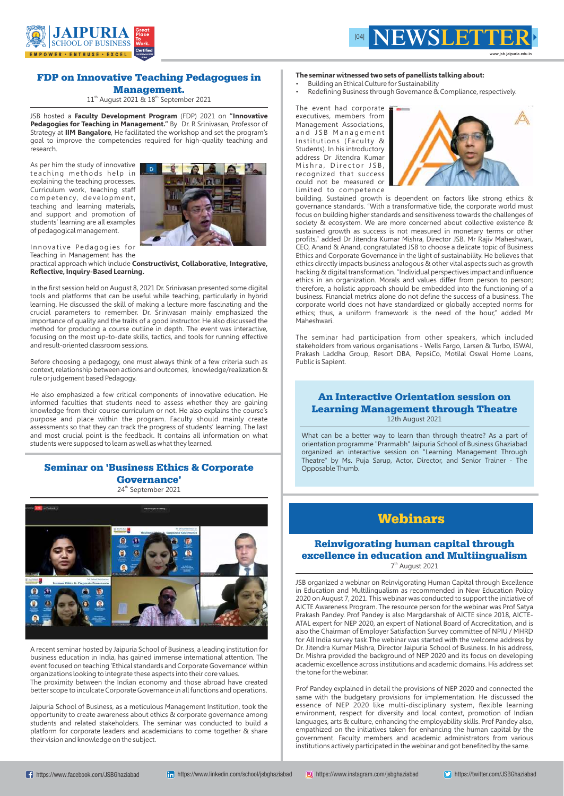## **FDP on Innovative Teaching Pedagogues in Management.**

 $11<sup>th</sup>$  August 2021 &  $18<sup>th</sup>$  September 2021

JSB hosted a **Faculty Development Program** (FDP) 2021 on **"Innovative Pedagogies for Teaching in Management."** By Dr. R Srinivasan, Professor of Strategy at **IIM Bangalore**, He facilitated the workshop and set the program's goal to improve the competencies required for high-quality teaching and research.

Innovative Pedagogies for Teaching in Management has the

As per him the study of innovative teaching methods help in explaining the teaching processes. Curriculum work, teaching staff competency, development, teaching and learning materials, and support and promotion of students' learning are all examples of pedagogical management.



practical approach which include **Constructivist, Collaborative, Integrative, Reflective, Inquiry-Based Learning.**

In the first session held on August 8, 2021 Dr. Srinivasan presented some digital tools and platforms that can be useful while teaching, particularly in hybrid learning. He discussed the skill of making a lecture more fascinating and the crucial parameters to remember. Dr. Srinivasan mainly emphasized the importance of quality and the traits of a good instructor. He also discussed the method for producing a course outline in depth. The event was interactive, focusing on the most up-to-date skills, tactics, and tools for running effective and result-oriented classroom sessions.

- Building an Ethical Culture for Sustainability
- Redefining Business through Governance & Compliance, respectively.

Before choosing a pedagogy, one must always think of a few criteria such as context, relationship between actions and outcomes, knowledge/realization & rule or judgement based Pedagogy.

He also emphasized a few critical components of innovative education. He informed faculties that students need to assess whether they are gaining knowledge from their course curriculum or not. He also explains the course's purpose and place within the program. Faculty should mainly create assessments so that they can track the progress of students' learning. The last and most crucial point is the feedback. It contains all information on what students were supposed to learn as well as what they learned.

## **Seminar on 'Business Ethics & Corporate Governance'**

24<sup>th</sup> September 2021



A recent seminar hosted by Jaipuria School of Business, a leading institution for business education in India, has gained immense international attention. The event focused on teaching 'Ethical standards and Corporate Governance' within organizations looking to integrate these aspects into their core values. The proximity between the Indian economy and those abroad have created better scope to inculcate Corporate Governance in all functions and operations.

## **Reinvigorating human capital through excellence in education and Multiingualism** 7<sup>th</sup> August 2021

Jaipuria School of Business, as a meticulous Management Institution, took the opportunity to create awareness about ethics & corporate governance among students and related stakeholders. The seminar was conducted to build a platform for corporate leaders and academicians to come together & share their vision and knowledge on the subject.

#### **The seminar witnessed two sets of panellists talking about:**

The event had corporate executives, members from Management Associations, and JSB Management Institutions (Faculty & Students). In his introductory address Dr Jitendra Kumar Mishra, Director JSB, recognized that success could not be measured or limited to competence



building. Sustained growth is dependent on factors like strong ethics & governance standards. "With a transformative tide, the corporate world must focus on building higher standards and sensitiveness towards the challenges of society & ecosystem. We are more concerned about collective existence & sustained growth as success is not measured in monetary terms or other profits," added Dr Jitendra Kumar Mishra, Director JSB. Mr Rajiv Maheshwari, CEO, Anand & Anand, congratulated JSB to choose a delicate topic of Business Ethics and Corporate Governance in the light of sustainability. He believes that ethics directly impacts business analogous & other vital aspects such as growth hacking & digital transformation. "Individual perspectives impact and influence ethics in an organization. Morals and values differ from person to person; therefore, a holistic approach should be embedded into the functioning of a business. Financial metrics alone do not define the success of a business. The corporate world does not have standardized or globally accepted norms for ethics; thus, a uniform framework is the need of the hour," added Mr Maheshwari.

The seminar had participation from other speakers, which included stakeholders from various organisations - Wells Fargo, Larsen & Turbo, ISWAI, Prakash Laddha Group, Resort DBA, PepsiCo, Motilal Oswal Home Loans, Public is Sapient.





## **Webinars**

JSB organized a webinar on Reinvigorating Human Capital through Excellence in Education and Multilingualism as recommended in New Education Policy 2020 on August 7, 2021. This webinar was conducted to support the initiative of AICTE Awareness Program. The resource person for the webinar was Prof Satya Prakash Pandey. Prof Pandey is also Margdarshak of AICTE since 2018, AICTE-ATAL expert for NEP 2020, an expert of National Board of Accreditation, and is also the Chairman of Employer Satisfaction Survey committee of NPIU / MHRD for All India survey task.The webinar was started with the welcome address by Dr. Jitendra Kumar Mishra, Director Jaipuria School of Business. In his address, Dr. Mishra provided the background of NEP 2020 and its focus on developing academic excellence across institutions and academic domains. His address set the tone for the webinar.

Prof Pandey explained in detail the provisions of NEP 2020 and connected the same with the budgetary provisions for implementation. He discussed the essence of NEP 2020 like multi-disciplinary system, flexible learning environment, respect for diversity and local context, promotion of Indian languages, arts & culture, enhancing the employability skills. Prof Pandey also, empathized on the initiatives taken for enhancing the human capital by the government. Faculty members and academic administrators from various institutions actively participated in the webinar and got benefited by the same.

## **An Interactive Orientation session on Learning Management through Theatre**

12th August 2021

What can be a better way to learn than through theatre? As a part of orientation programme "Prarmabh" Jaipuria School of Business Ghaziabad organized an interactive session on "Learning Management Through Theatre" by Ms. Puja Sarup, Actor, Director, and Senior Trainer - The Opposable Thumb.